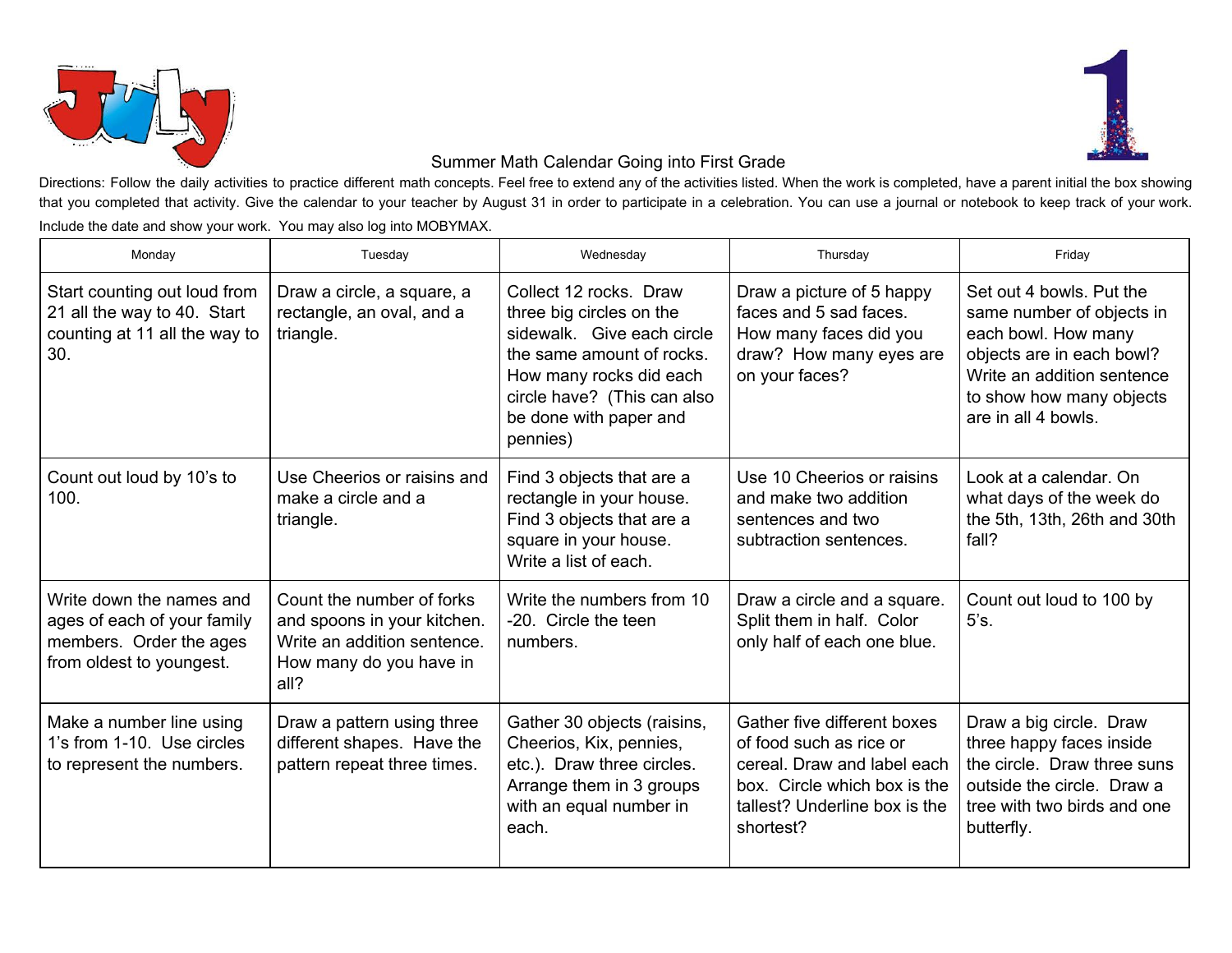



## Summer Math Calendar Going into First Grade

Directions: Follow the daily activities to practice different math concepts. Feel free to extend any of the activities listed. When the work is completed, have a parent initial the box showing that you completed that activity. Give the calendar to your teacher by August 31 in order to participate in a celebration. You can use a journal or notebook to keep track of your work. Include the date and show your work. You may also log into MOBYMAX.

| Monday                                                                                                         | Tuesday                                                                                                                    | Wednesday                                                                                                                                                                                                     | Thursday                                                                                                                                                            | Friday                                                                                                                                                                                     |
|----------------------------------------------------------------------------------------------------------------|----------------------------------------------------------------------------------------------------------------------------|---------------------------------------------------------------------------------------------------------------------------------------------------------------------------------------------------------------|---------------------------------------------------------------------------------------------------------------------------------------------------------------------|--------------------------------------------------------------------------------------------------------------------------------------------------------------------------------------------|
| Start counting out loud from<br>21 all the way to 40. Start<br>counting at 11 all the way to<br>30.            | Draw a circle, a square, a<br>rectangle, an oval, and a<br>triangle.                                                       | Collect 12 rocks. Draw<br>three big circles on the<br>sidewalk. Give each circle<br>the same amount of rocks.<br>How many rocks did each<br>circle have? (This can also<br>be done with paper and<br>pennies) | Draw a picture of 5 happy<br>faces and 5 sad faces.<br>How many faces did you<br>draw? How many eyes are<br>on your faces?                                          | Set out 4 bowls. Put the<br>same number of objects in<br>each bowl. How many<br>objects are in each bowl?<br>Write an addition sentence<br>to show how many objects<br>are in all 4 bowls. |
| Count out loud by 10's to<br>100.                                                                              | Use Cheerios or raisins and<br>make a circle and a<br>triangle.                                                            | Find 3 objects that are a<br>rectangle in your house.<br>Find 3 objects that are a<br>square in your house.<br>Write a list of each.                                                                          | Use 10 Cheerios or raisins<br>and make two addition<br>sentences and two<br>subtraction sentences.                                                                  | Look at a calendar, On<br>what days of the week do<br>the 5th, 13th, 26th and 30th<br>fall?                                                                                                |
| Write down the names and<br>ages of each of your family<br>members. Order the ages<br>from oldest to youngest. | Count the number of forks<br>and spoons in your kitchen.<br>Write an addition sentence.<br>How many do you have in<br>all? | Write the numbers from 10<br>-20. Circle the teen<br>numbers.                                                                                                                                                 | Draw a circle and a square.<br>Split them in half. Color<br>only half of each one blue.                                                                             | Count out loud to 100 by<br>5's.                                                                                                                                                           |
| Make a number line using<br>1's from 1-10. Use circles<br>to represent the numbers.                            | Draw a pattern using three<br>different shapes. Have the<br>pattern repeat three times.                                    | Gather 30 objects (raisins,<br>Cheerios, Kix, pennies,<br>etc.). Draw three circles.<br>Arrange them in 3 groups<br>with an equal number in<br>each.                                                          | Gather five different boxes<br>of food such as rice or<br>cereal. Draw and label each<br>box. Circle which box is the<br>tallest? Underline box is the<br>shortest? | Draw a big circle. Draw<br>three happy faces inside<br>the circle. Draw three suns<br>outside the circle. Draw a<br>tree with two birds and one<br>butterfly.                              |